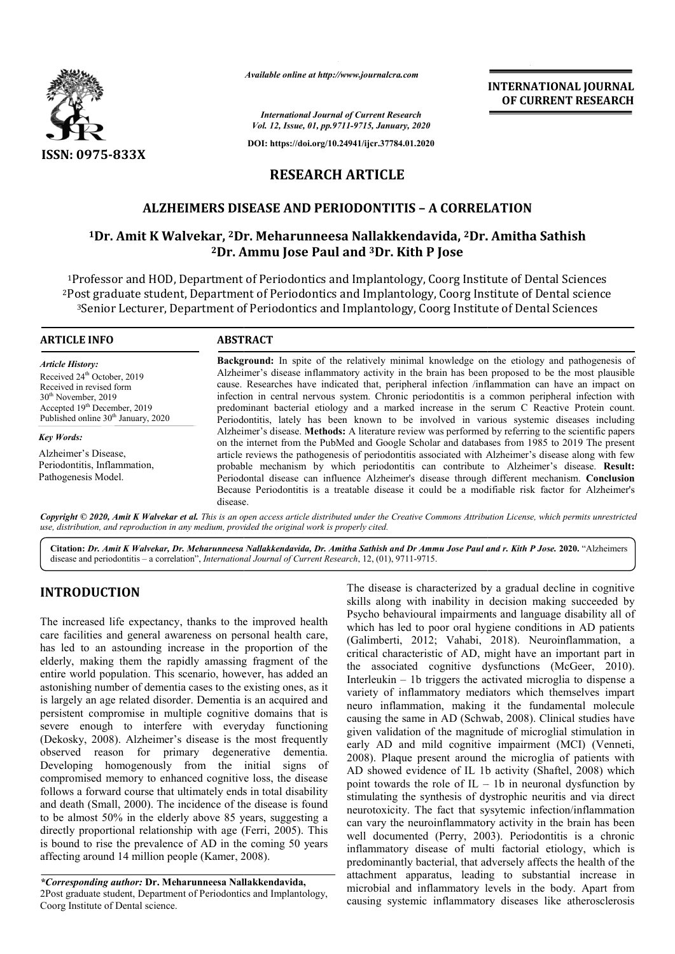

*Available online at http://www.journalcra.com*

*International Journal of Current Research Vol. 12, Issue, 01, pp.9711-9715, January, 2020*

**DOI: https://doi.org/10.24941/ijcr.37784.01.2020**

## **RESEARCH ARTICLE**

## **ALZHEIMERS DISEASE AND PERIODONTITIS – A CORRELATION**

# **1Dr. Amit K Walvekar, <sup>2</sup>Dr. Meharunneesa Nallakkendavida, <sup>2</sup>Dr. Amitha Sathish <sup>1</sup>Dr. Amitha Sathish 2Dr. Ammu Jose Paul and 3Dr. Kith P Jose**

1Professor and HOD, Department of Periodontics and Implantology, Coorg Institute of Dental Sciences 2Post graduate student, Department of Periodontics and Implantology, Coorg Institute of Dental science 3Senior Lecturer, Department of Periodontics and Implantology, Coorg Institute of Dental Sciences <sup>1</sup>Professor and HOD, Department of Periodontics and Implantology, Coorg Institute of Dental Science<br>Post graduate student, Department of Periodontics and Implantology, Coorg Institute of Dental sciences<br><sup>3</sup>Senior Lecturer

| <b>ARTICLE INFO</b>                                                                                                                                                                                          | <b>ABSTRACT</b>                                                                                                                                                                                                                                                                                                                                                                                                                                                                                                                                                                                              |
|--------------------------------------------------------------------------------------------------------------------------------------------------------------------------------------------------------------|--------------------------------------------------------------------------------------------------------------------------------------------------------------------------------------------------------------------------------------------------------------------------------------------------------------------------------------------------------------------------------------------------------------------------------------------------------------------------------------------------------------------------------------------------------------------------------------------------------------|
| <b>Article History:</b><br>Received 24 <sup>th</sup> October, 2019<br>Received in revised form<br>$30th$ November, 2019<br>Accepted $19th$ December, 2019<br>Published online 30 <sup>th</sup> January, 2020 | <b>Background:</b> In spite of the relatively minimal knowledge on the etiology and pathogenesis of<br>Alzheimer's disease inflammatory activity in the brain has been proposed to be the most plausible<br>cause. Researches have indicated that, peripheral infection /inflammation can have an impact on<br>infection in central nervous system. Chronic periodontitis is a common peripheral infection with<br>predominant bacterial etiology and a marked increase in the serum C Reactive Protein count.<br>Periodontitis, lately has been known to be involved in various systemic diseases including |
| <b>Key Words:</b>                                                                                                                                                                                            | Alzheimer's disease. <b>Methods:</b> A literature review was performed by referring to the scientific papers<br>on the internet from the PubMed and Google Scholar and databases from 1985 to 2019 The present                                                                                                                                                                                                                                                                                                                                                                                               |
| Alzheimer's Disease.<br>Periodontitis, Inflammation,<br>Pathogenesis Model.                                                                                                                                  | article reviews the pathogenesis of periodontitis associated with Alzheimer's disease along with few<br>probable mechanism by which periodontitis can contribute to Alzheimer's disease. Result:<br>Periodontal disease can influence Alzheimer's disease through different mechanism. Conclusion<br>Because Periodontitis is a treatable disease it could be a modifiable risk factor for Alzheimer's                                                                                                                                                                                                       |

Copyright © 2020, Amit K Walvekar et al. This is an open access article distributed under the Creative Commons Attribution License, which permits unrestrictea *use, distribution, and reproduction in any medium, provided the original work is properly cited.*

**Citation:** *Dr. Amit K Walvekar, Dr. Meharunneesa Nallakkendavida, Dr. Amitha Sathish and Dr Ammu Jose Paul and r. Kith P Jose.* **2020.** "Alzheimers disease and periodontitis – a correlation", *International Journal of Current Research*, 12, (01), 9711-9715.

## **INTRODUCTION**

The increased life expectancy, thanks to the improved health care facilities and general awareness on personal health care, has led to an astounding increase in the proportion of the elderly, making them the rapidly amassing fragment of the entire world population. This scenario, however, has added an astonishing number of dementia cases to the existing ones, as it is largely an age related disorder. Dementia is an acquired and persistent compromise in multiple cognitive domains that is severe enough to interfere with everyday functioning (Dekosky, 2008). Alzheimer's disease is the most frequently observed reason for primary degenerative dementia. Developing homogenously from the initial signs of compromised memory to enhanced cognitive loss, the disease follows a forward course that ultimately ends in total disability and death (Small, 2000). The incidence of the disease is found to be almost 50% in the elderly above 85 years, suggesting a directly proportional relationship with age ( (Ferri, 2005). This is bound to rise the prevalence of AD in the coming 50 years affecting around 14 million people (Kamer, 2008 , 2008).

disease.

*\*Corresponding author:* **Dr. Meharunneesa Nallakkendavida Nallakkendavida,** 2Post graduate student, Department of Periodontics and Implantology, Coorg Institute of Dental science.

The disease is characterized by a gradual decline in cognitive skills along with inability in decision making succeeded by Psycho behavioural impairments and language disability all of which has led to poor oral hygiene conditions in AD patients skills along with inability in decision making succeeded by<br>Psycho behavioural impairments and language disability all of<br>which has led to poor oral hygiene conditions in AD patients<br>(Galimberti, 2012; Vahabi, 2018). Neuro critical characteristic of AD, might have an important part in the associated cognitive dysfunctions (McGeer, 2010). Interleukin – 1b triggers the activated microglia to dispense a variety of inflammatory mediators which themselves impart neuro inflammation, making it the fundamental molecule causing the same in AD (Schwab, 2008). Clinical studies have given validation of the magnitude of microglial stimulation in given validation of the magnitude of microglial stimulation in early AD and mild cognitive impairment (MCI) (Venneti, 2008). Plaque present around the microglia of patients with AD showed evidence of IL 1b activity (Shaftel, 2008) which point towards the role of IL – 1b in neuronal dysfunction by stimulating the synthesis of dystrophic neuritis and via direct stimulating the synthesis of dystrophic neuritis and via direct<br>neurotoxicity. The fact that sysytemic infection/inflammation can vary the neuroinflammatory activity in the brain has been can vary the neuroinflammatory activity in the brain has been<br>well documented (Perry, 2003). Periodontitis is a chronic inflammatory disease of multi factorial etiology, which is inflammatory disease of multi factorial etiology, which is<br>predominantly bacterial, that adversely affects the health of the attachment apparatus, leading to substantial increase in microbial and inflammatory levels in the body. Apart from causing systemic inflammatory diseases like atherosclerosis triggers the activated microglia to dispense a<br>mmatory mediators which themselves impart<br>tion, making it the fundamental molecule<br>e in AD (Schwab, 2008). Clinical studies have **INTERNATIONAL JOURNAL OF CURRENT RESEARCH**<br> **OF CURRENT RESEARCH**<br> **COVERT (ACCOVERT ASSEARCH**<br> **COVERT (ACCOVERT ASSEARCH**<br> **COVERT (ACCOVERT ASSEARCH**<br> **COVERT (ACCOVERT)**<br> **COVERT (ACCOVERT)**<br> **COVERT**<br> **COVERT**<br> **COVE** 

**INTERNATIONAL JOURNAL OF CURRENT RESEARCH**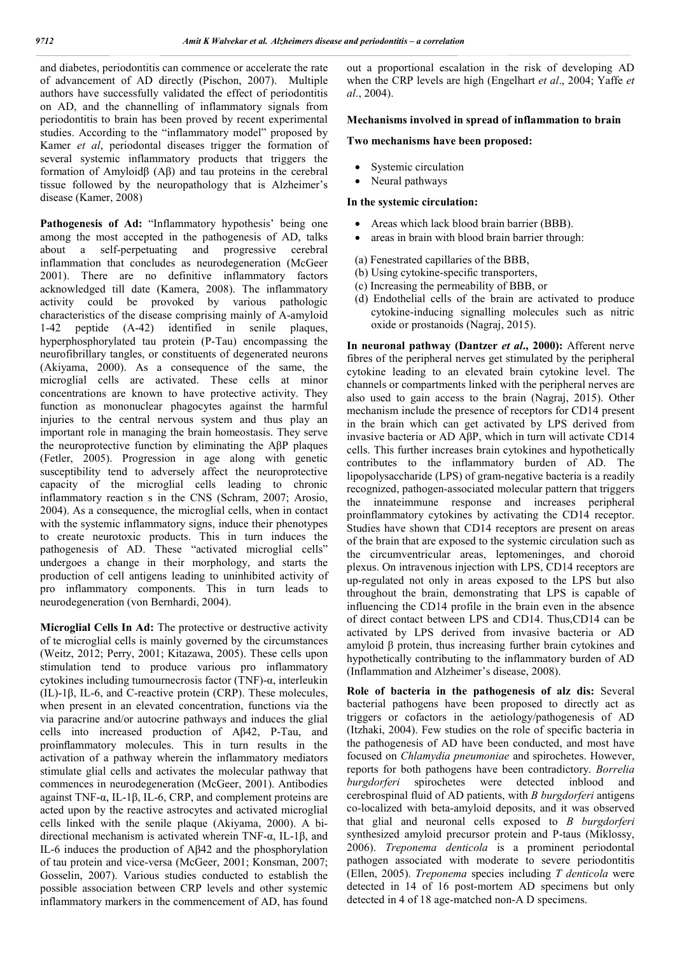and diabetes, periodontitis can commence or accelerate the rate of advancement of AD directly (Pischon, 2007). Multiple authors have successfully validated the effect of periodontitis on AD, and the channelling of inflammatory signals from periodontitis to brain has been proved by recent experimental studies. According to the "inflammatory model" proposed by Kamer *et al*, periodontal diseases trigger the formation of several systemic inflammatory products that triggers the formation of Amyloidβ (Aβ) and tau proteins in the cerebral tissue followed by the neuropathology that is Alzheimer's disease (Kamer, 2008)

Pathogenesis of Ad: "Inflammatory hypothesis' being one among the most accepted in the pathogenesis of AD, talks about a self-perpetuating and progressive cerebral inflammation that concludes as neurodegeneration (McGeer 2001). There are no definitive inflammatory factors acknowledged till date (Kamera, 2008). The inflammatory activity could be provoked by various pathologic characteristics of the disease comprising mainly of A-amyloid 1-42 peptide (A-42) identified in senile plaques, hyperphosphorylated tau protein (P-Tau) encompassing the neurofibrillary tangles, or constituents of degenerated neurons (Akiyama, 2000). As a consequence of the same, the microglial cells are activated. These cells at minor concentrations are known to have protective activity. They function as mononuclear phagocytes against the harmful injuries to the central nervous system and thus play an important role in managing the brain homeostasis. They serve the neuroprotective function by eliminating the AβP plaques (Fetler, 2005). Progression in age along with genetic susceptibility tend to adversely affect the neuroprotective capacity of the microglial cells leading to chronic inflammatory reaction s in the CNS (Schram, 2007; Arosio, 2004). As a consequence, the microglial cells, when in contact with the systemic inflammatory signs, induce their phenotypes to create neurotoxic products. This in turn induces the pathogenesis of AD. These "activated microglial cells" undergoes a change in their morphology, and starts the production of cell antigens leading to uninhibited activity of pro inflammatory components. This in turn leads to neurodegeneration (von Bernhardi, 2004).

**Microglial Cells In Ad:** The protective or destructive activity of te microglial cells is mainly governed by the circumstances (Weitz, 2012; Perry, 2001; Kitazawa, 2005). These cells upon stimulation tend to produce various pro inflammatory cytokines including tumournecrosis factor (TNF)-α, interleukin (IL)-1β, IL-6, and C-reactive protein (CRP). These molecules, when present in an elevated concentration, functions via the via paracrine and/or autocrine pathways and induces the glial cells into increased production of Aβ42, P-Tau, and proinflammatory molecules. This in turn results in the activation of a pathway wherein the inflammatory mediators stimulate glial cells and activates the molecular pathway that commences in neurodegeneration (McGeer, 2001). Antibodies against TNF- $\alpha$ , IL-1β, IL-6, CRP, and complement proteins are acted upon by the reactive astrocytes and activated microglial cells linked with the senile plaque (Akiyama, 2000). A bidirectional mechanism is activated wherein TNF-α, IL-1β, and IL-6 induces the production of Aβ42 and the phosphorylation of tau protein and vice-versa (McGeer, 2001; Konsman, 2007; Gosselin, 2007). Various studies conducted to establish the possible association between CRP levels and other systemic inflammatory markers in the commencement of AD, has found

out a proportional escalation in the risk of developing AD when the CRP levels are high (Engelhart *et al*., 2004; Yaffe *et al*., 2004).

#### **Mechanisms involved in spread of inflammation to brain**

#### **Two mechanisms have been proposed:**

- Systemic circulation
- Neural pathways

#### **In the systemic circulation:**

- Areas which lack blood brain barrier (BBB).
- areas in brain with blood brain barrier through:
- (a) Fenestrated capillaries of the BBB,
- (b) Using cytokine-specific transporters,
- (c) Increasing the permeability of BBB, or
- (d) Endothelial cells of the brain are activated to produce cytokine-inducing signalling molecules such as nitric oxide or prostanoids (Nagraj, 2015).

**In neuronal pathway (Dantzer** *et al***., 2000):** Afferent nerve fibres of the peripheral nerves get stimulated by the peripheral cytokine leading to an elevated brain cytokine level. The channels or compartments linked with the peripheral nerves are also used to gain access to the brain (Nagraj, 2015). Other mechanism include the presence of receptors for CD14 present in the brain which can get activated by LPS derived from invasive bacteria or AD AβP, which in turn will activate CD14 cells. This further increases brain cytokines and hypothetically contributes to the inflammatory burden of AD. The lipopolysaccharide (LPS) of gram-negative bacteria is a readily recognized, pathogen-associated molecular pattern that triggers the innateimmune response and increases peripheral proinflammatory cytokines by activating the CD14 receptor. Studies have shown that CD14 receptors are present on areas of the brain that are exposed to the systemic circulation such as the circumventricular areas, leptomeninges, and choroid plexus. On intravenous injection with LPS, CD14 receptors are up-regulated not only in areas exposed to the LPS but also throughout the brain, demonstrating that LPS is capable of influencing the CD14 profile in the brain even in the absence of direct contact between LPS and CD14. Thus,CD14 can be activated by LPS derived from invasive bacteria or AD amyloid β protein, thus increasing further brain cytokines and hypothetically contributing to the inflammatory burden of AD (Inflammation and Alzheimer's disease, 2008).

**Role of bacteria in the pathogenesis of alz dis:** Several bacterial pathogens have been proposed to directly act as triggers or cofactors in the aetiology/pathogenesis of AD (Itzhaki, 2004). Few studies on the role of specific bacteria in the pathogenesis of AD have been conducted, and most have focused on *Chlamydia pneumoniae* and spirochetes. However, reports for both pathogens have been contradictory. *Borrelia burgdorferi* spirochetes were detected inblood and cerebrospinal fluid of AD patients, with *B burgdorferi* antigens co-localized with beta-amyloid deposits, and it was observed that glial and neuronal cells exposed to *B burgdorferi*  synthesized amyloid precursor protein and P-taus (Miklossy, 2006). *Treponema denticola* is a prominent periodontal pathogen associated with moderate to severe periodontitis (Ellen, 2005). *Treponema* species including *T denticola* were detected in 14 of 16 post-mortem AD specimens but only detected in 4 of 18 age-matched non-A D specimens.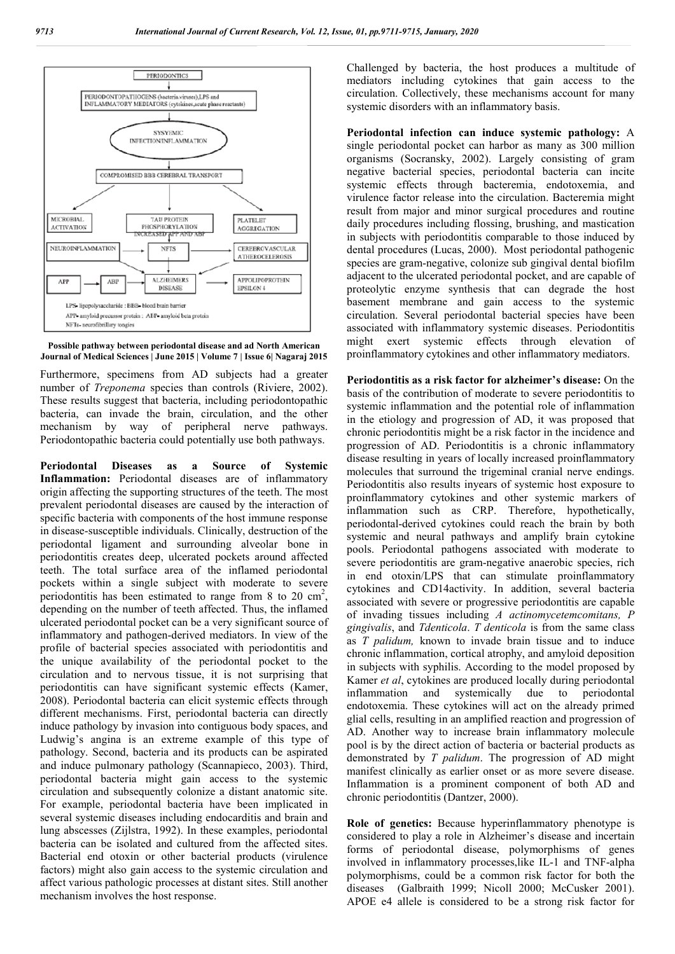

**Possible pathway between periodontal disease and ad North American Journal of Medical Sciences | June 2015 | Volume 7 | Issue 6| Nagaraj 2015**

Furthermore, specimens from AD subjects had a greater number of *Treponema* species than controls (Riviere, 2002). These results suggest that bacteria, including periodontopathic bacteria, can invade the brain, circulation, and the other mechanism by way of peripheral nerve pathways. Periodontopathic bacteria could potentially use both pathways.

**Periodontal Diseases as a Source of Systemic Inflammation:** Periodontal diseases are of inflammatory origin affecting the supporting structures of the teeth. The most prevalent periodontal diseases are caused by the interaction of specific bacteria with components of the host immune response in disease-susceptible individuals. Clinically, destruction of the periodontal ligament and surrounding alveolar bone in periodontitis creates deep, ulcerated pockets around affected teeth. The total surface area of the inflamed periodontal pockets within a single subject with moderate to severe periodontitis has been estimated to range from 8 to 20  $\text{cm}^2$ , depending on the number of teeth affected. Thus, the inflamed ulcerated periodontal pocket can be a very significant source of inflammatory and pathogen-derived mediators. In view of the profile of bacterial species associated with periodontitis and the unique availability of the periodontal pocket to the circulation and to nervous tissue, it is not surprising that periodontitis can have significant systemic effects (Kamer, 2008). Periodontal bacteria can elicit systemic effects through different mechanisms. First, periodontal bacteria can directly induce pathology by invasion into contiguous body spaces, and Ludwig's angina is an extreme example of this type of pathology. Second, bacteria and its products can be aspirated and induce pulmonary pathology (Scannapieco, 2003). Third, periodontal bacteria might gain access to the systemic circulation and subsequently colonize a distant anatomic site. For example, periodontal bacteria have been implicated in several systemic diseases including endocarditis and brain and lung abscesses (Zijlstra, 1992). In these examples, periodontal bacteria can be isolated and cultured from the affected sites. Bacterial end otoxin or other bacterial products (virulence factors) might also gain access to the systemic circulation and affect various pathologic processes at distant sites. Still another mechanism involves the host response.

Challenged by bacteria, the host produces a multitude of mediators including cytokines that gain access to the circulation. Collectively, these mechanisms account for many systemic disorders with an inflammatory basis.

**Periodontal infection can induce systemic pathology:** A single periodontal pocket can harbor as many as 300 million organisms (Socransky, 2002). Largely consisting of gram negative bacterial species, periodontal bacteria can incite systemic effects through bacteremia, endotoxemia, and virulence factor release into the circulation. Bacteremia might result from major and minor surgical procedures and routine daily procedures including flossing, brushing, and mastication in subjects with periodontitis comparable to those induced by dental procedures (Lucas, 2000). Most periodontal pathogenic species are gram-negative, colonize sub gingival dental biofilm adjacent to the ulcerated periodontal pocket, and are capable of proteolytic enzyme synthesis that can degrade the host basement membrane and gain access to the systemic circulation. Several periodontal bacterial species have been associated with inflammatory systemic diseases. Periodontitis might exert systemic effects through elevation of proinflammatory cytokines and other inflammatory mediators.

**Periodontitis as a risk factor for alzheimer's disease:** On the basis of the contribution of moderate to severe periodontitis to systemic inflammation and the potential role of inflammation in the etiology and progression of AD, it was proposed that chronic periodontitis might be a risk factor in the incidence and progression of AD. Periodontitis is a chronic inflammatory disease resulting in years of locally increased proinflammatory molecules that surround the trigeminal cranial nerve endings. Periodontitis also results inyears of systemic host exposure to proinflammatory cytokines and other systemic markers of inflammation such as CRP. Therefore, hypothetically, periodontal-derived cytokines could reach the brain by both systemic and neural pathways and amplify brain cytokine pools. Periodontal pathogens associated with moderate to severe periodontitis are gram-negative anaerobic species, rich in end otoxin/LPS that can stimulate proinflammatory cytokines and CD14activity. In addition, several bacteria associated with severe or progressive periodontitis are capable of invading tissues including *A actinomycetemcomitans, P gingivalis*, and *Tdenticola*. *T denticola* is from the same class as *T palidum,* known to invade brain tissue and to induce chronic inflammation, cortical atrophy, and amyloid deposition in subjects with syphilis. According to the model proposed by Kamer *et al*, cytokines are produced locally during periodontal inflammation and systemically due to periodontal endotoxemia. These cytokines will act on the already primed glial cells, resulting in an amplified reaction and progression of AD. Another way to increase brain inflammatory molecule pool is by the direct action of bacteria or bacterial products as demonstrated by *T palidum*. The progression of AD might manifest clinically as earlier onset or as more severe disease. Inflammation is a prominent component of both AD and chronic periodontitis (Dantzer, 2000).

**Role of genetics:** Because hyperinflammatory phenotype is considered to play a role in Alzheimer's disease and incertain forms of periodontal disease, polymorphisms of genes involved in inflammatory processes,like IL-1 and TNF-alpha polymorphisms, could be a common risk factor for both the diseases (Galbraith 1999; Nicoll 2000; McCusker 2001). APOE e4 allele is considered to be a strong risk factor for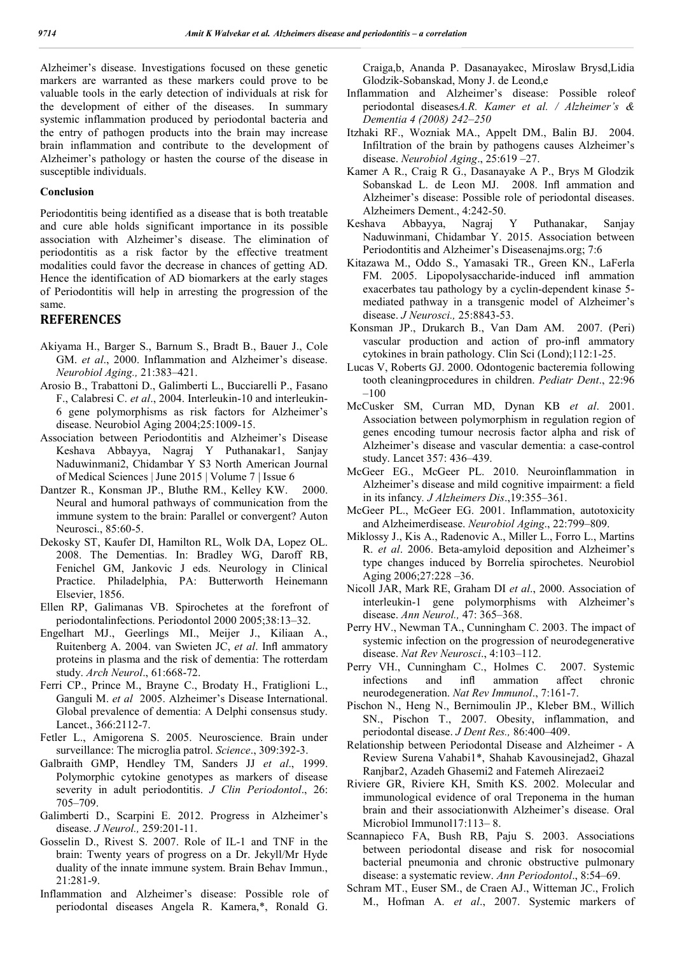Alzheimer's disease. Investigations focused on these genetic markers are warranted as these markers could prove to be valuable tools in the early detection of individuals at risk for the development of either of the diseases. In summary systemic inflammation produced by periodontal bacteria and the entry of pathogen products into the brain may increase brain inflammation and contribute to the development of Alzheimer's pathology or hasten the course of the disease in susceptible individuals.

#### **Conclusion**

Periodontitis being identified as a disease that is both treatable and cure able holds significant importance in its possible association with Alzheimer's disease. The elimination of periodontitis as a risk factor by the effective treatment modalities could favor the decrease in chances of getting AD. Hence the identification of AD biomarkers at the early stages of Periodontitis will help in arresting the progression of the same.

### **REFERENCES**

- Akiyama H., Barger S., Barnum S., Bradt B., Bauer J., Cole GM. *et al*., 2000. Inflammation and Alzheimer's disease. *Neurobiol Aging.,* 21:383–421.
- Arosio B., Trabattoni D., Galimberti L., Bucciarelli P., Fasano F., Calabresi C. *et al*., 2004. Interleukin-10 and interleukin-6 gene polymorphisms as risk factors for Alzheimer's disease. Neurobiol Aging 2004;25:1009-15.
- Association between Periodontitis and Alzheimer's Disease Keshava Abbayya, Nagraj Y Puthanakar1, Sanjay Naduwinmani2, Chidambar Y S3 North American Journal of Medical Sciences | June 2015 | Volume 7 | Issue 6
- Dantzer R., Konsman JP., Bluthe RM., Kelley KW. 2000. Neural and humoral pathways of communication from the immune system to the brain: Parallel or convergent? Auton Neurosci., 85:60-5.
- Dekosky ST, Kaufer DI, Hamilton RL, Wolk DA, Lopez OL. 2008. The Dementias. In: Bradley WG, Daroff RB, Fenichel GM, Jankovic J eds. Neurology in Clinical Practice. Philadelphia, PA: Butterworth Heinemann Elsevier, 1856.
- Ellen RP, Galimanas VB. Spirochetes at the forefront of periodontalinfections. Periodontol 2000 2005;38:13–32.
- Engelhart MJ., Geerlings MI., Meijer J., Kiliaan A., Ruitenberg A. 2004. van Swieten JC, *et al*. Infl ammatory proteins in plasma and the risk of dementia: The rotterdam study. *Arch Neurol*., 61:668-72.
- Ferri CP., Prince M., Brayne C., Brodaty H., Fratiglioni L., Ganguli M. *et al* 2005. Alzheimer's Disease International. Global prevalence of dementia: A Delphi consensus study. Lancet., 366:2112-7.
- Fetler L., Amigorena S. 2005. Neuroscience. Brain under surveillance: The microglia patrol. *Science*., 309:392-3.
- Galbraith GMP, Hendley TM, Sanders JJ *et al*., 1999. Polymorphic cytokine genotypes as markers of disease severity in adult periodontitis. *J Clin Periodontol*., 26: 705–709.
- Galimberti D., Scarpini E. 2012. Progress in Alzheimer's disease. *J Neurol.,* 259:201-11.
- Gosselin D., Rivest S. 2007. Role of IL-1 and TNF in the brain: Twenty years of progress on a Dr. Jekyll/Mr Hyde duality of the innate immune system. Brain Behav Immun., 21:281-9.
- Inflammation and Alzheimer's disease: Possible role of periodontal diseases Angela R. Kamera,\*, Ronald G.

Craiga,b, Ananda P. Dasanayakec, Miroslaw Brysd,Lidia Glodzik-Sobanskad, Mony J. de Leond,e

- Inflammation and Alzheimer's disease: Possible roleof periodontal diseases*A.R. Kamer et al. / Alzheimer's & Dementia 4 (2008) 242–250*
- Itzhaki RF., Wozniak MA., Appelt DM., Balin BJ. 2004. Infiltration of the brain by pathogens causes Alzheimer's disease. *Neurobiol Aging*., 25:619 –27.
- Kamer A R., Craig R G., Dasanayake A P., Brys M Glodzik Sobanskad L. de Leon MJ. 2008. Infl ammation and Alzheimer's disease: Possible role of periodontal diseases. Alzheimers Dement., 4:242-50.
- Keshava Abbayya, Nagraj Y Puthanakar, Sanjay Naduwinmani, Chidambar Y. 2015. Association between Periodontitis and Alzheimer's Diseasenajms.org; 7:6
- Kitazawa M., Oddo S., Yamasaki TR., Green KN., LaFerla FM. 2005. Lipopolysaccharide-induced infl ammation exacerbates tau pathology by a cyclin-dependent kinase 5 mediated pathway in a transgenic model of Alzheimer's disease. *J Neurosci.,* 25:8843-53.
- Konsman JP., Drukarch B., Van Dam AM. 2007. (Peri) vascular production and action of pro-infl ammatory cytokines in brain pathology. Clin Sci (Lond);112:1-25.
- Lucas V, Roberts GJ. 2000. Odontogenic bacteremia following tooth cleaningprocedures in children. *Pediatr Dent*., 22:96 –100
- McCusker SM, Curran MD, Dynan KB *et al*. 2001. Association between polymorphism in regulation region of genes encoding tumour necrosis factor alpha and risk of Alzheimer's disease and vascular dementia: a case-control study. Lancet 357: 436–439.
- McGeer EG., McGeer PL. 2010. Neuroinflammation in Alzheimer's disease and mild cognitive impairment: a field in its infancy*. J Alzheimers Dis*.,19:355–361.
- McGeer PL., McGeer EG. 2001. Inflammation, autotoxicity and Alzheimerdisease. *Neurobiol Aging*., 22:799–809.
- Miklossy J., Kis A., Radenovic A., Miller L., Forro L., Martins R. *et al*. 2006. Beta-amyloid deposition and Alzheimer's type changes induced by Borrelia spirochetes. Neurobiol Aging 2006;27:228 –36.
- Nicoll JAR, Mark RE, Graham DI *et al*., 2000. Association of interleukin-1 gene polymorphisms with Alzheimer's disease. *Ann Neurol.,* 47: 365–368.
- Perry HV., Newman TA., Cunningham C. 2003. The impact of systemic infection on the progression of neurodegenerative disease. *Nat Rev Neurosci*., 4:103–112.
- Perry VH., Cunningham C., Holmes C. 2007. Systemic infections and infl ammation affect chronic neurodegeneration. *Nat Rev Immunol*., 7:161-7.
- Pischon N., Heng N., Bernimoulin JP., Kleber BM., Willich SN., Pischon T., 2007. Obesity, inflammation, and periodontal disease. *J Dent Res.,* 86:400–409.
- Relationship between Periodontal Disease and Alzheimer A Review Surena Vahabi1\*, Shahab Kavousinejad2, Ghazal Ranjbar2, Azadeh Ghasemi2 and Fatemeh Alirezaei2
- Riviere GR, Riviere KH, Smith KS. 2002. Molecular and immunological evidence of oral Treponema in the human brain and their associationwith Alzheimer's disease. Oral Microbiol Immunol17:113– 8.
- Scannapieco FA, Bush RB, Paju S. 2003. Associations between periodontal disease and risk for nosocomial bacterial pneumonia and chronic obstructive pulmonary disease: a systematic review. *Ann Periodontol*., 8:54–69.
- Schram MT., Euser SM., de Craen AJ., Witteman JC., Frolich M., Hofman A. *et al*., 2007. Systemic markers of